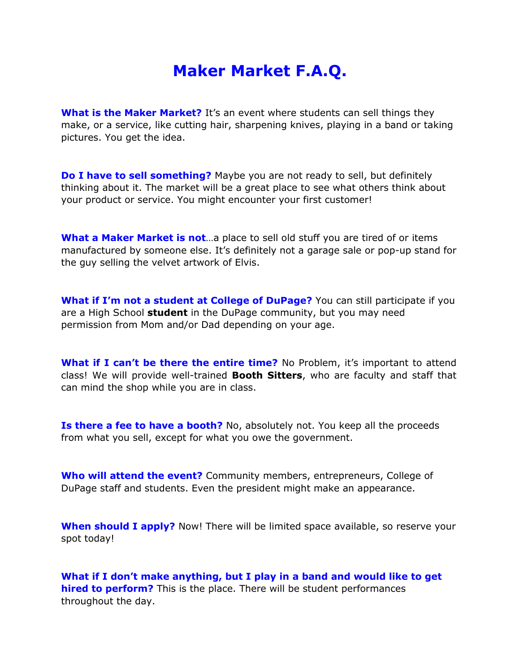## **Maker Market F.A.Q.**

**What is the Maker Market?** It's an event where students can sell things they make, or a service, like cutting hair, sharpening knives, playing in a band or taking pictures. You get the idea.

**Do I have to sell something?** Maybe you are not ready to sell, but definitely thinking about it. The market will be a great place to see what others think about your product or service. You might encounter your first customer!

**What a Maker Market is not**…a place to sell old stuff you are tired of or items manufactured by someone else. It's definitely not a garage sale or pop-up stand for the guy selling the velvet artwork of Elvis.

**What if I'm not a student at College of DuPage?** You can still participate if you are a High School **student** in the DuPage community, but you may need permission from Mom and/or Dad depending on your age.

**What if I can't be there the entire time?** No Problem, it's important to attend class! We will provide well-trained **Booth Sitters**, who are faculty and staff that can mind the shop while you are in class.

**Is there a fee to have a booth?** No, absolutely not. You keep all the proceeds from what you sell, except for what you owe the government.

**Who will attend the event?** Community members, entrepreneurs, College of DuPage staff and students. Even the president might make an appearance.

**When should I apply?** Now! There will be limited space available, so reserve your spot today!

**What if I don't make anything, but I play in a band and would like to get hired to perform?** This is the place. There will be student performances throughout the day.